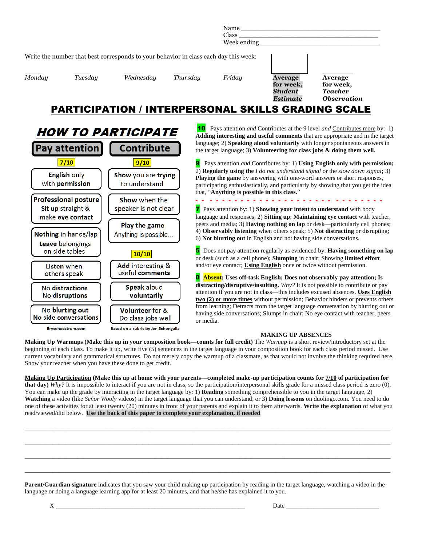|                                                                                      |         |           |          | Name<br>Class<br>Week ending |                                                           |                                                                     |  |  |  |
|--------------------------------------------------------------------------------------|---------|-----------|----------|------------------------------|-----------------------------------------------------------|---------------------------------------------------------------------|--|--|--|
| Write the number that best corresponds to your behavior in class each day this week: |         |           |          |                              |                                                           |                                                                     |  |  |  |
| Monday                                                                               | Tuesday | Wednesday | Thursday | Friday                       | <b>Average</b><br>for week,<br>Student<br><b>Estimate</b> | Average<br>for week,<br><b>Teacher</b><br><i><b>Observation</b></i> |  |  |  |

### PARTICIPATION / INTERPERSONAL SKILLS GRADING SCALE



10 Pays attention *and* Contributes at the 9 level *and* Contributes more by: 1) **Adding interesting and useful comments** that are appropriate and in the target language; 2) **Speaking aloud voluntarily** with longer spontaneous answers in the target language; 3) **Volunteering for class jobs & doing them well.**

9 Pays attention *and* Contributes by: 1) **Using English only with permission;**  2) **Regularly using the** *I do not understand signal* or the *slow down signal***;** 3) **Playing the game** by answering with one-word answers or short responses, participating enthusiastically, and particularly by showing that you get the idea that, "**Anything is possible in this class.**"

- - - - - - - - - - - - - - - - - - - - - - - - - - - - - -

7 Pays attention by: 1) **Showing your intent to understand** with body language and responses; 2) **Sitting up**; **Maintaining eye contact** with teacher, peers and media; 3) **Having nothing on lap** or desk—particularly cell phones; 4) **Observably listening** when others speak; 5) **Not distracting** or disrupting; 6) **Not blurting out** in English and not having side conversations.

5 Does not pay attention regularly as evidenced by: **Having something on lap** or desk (such as a cell phone); **Slumping** in chair; Showing **limited effort** and/or eye contact; **Using English** once or twice without permission.

0 **Absent; Uses off-task English; Does not observably pay attention; Is distracting/disruptive/insulting.** *Why?* It is not possible to contribute or pay attention if you are not in class—this includes excused absences. **Uses English two (2) or more times** without permission; Behavior hinders or prevents others from learning; Detracts from the target language conversation by blurting out or having side conversations; Slumps in chair; No eye contact with teacher, peers or media.

#### **MAKING UP ABSENCES**

**Making Up Warmups (Make this up in your composition book—counts for full credit)** The *Warmup* is a short review/introductory set at the beginning of each class. To make it up, write five (5) sentences in the target language in your composition book for each class period missed. Use current vocabulary and grammatical structures. Do not merely copy the warmup of a classmate, as that would not involve the thinking required here. Show your teacher when you have these done to get credit.

**Making Up Participation (Make this up at home with your parents—completed make-up participation counts for 7/10 of participation for that day)** *Why?* It is impossible to interact if you are not in class, so the participation/interpersonal skills grade for a missed class period is zero (0). You can make up the grade by interacting in the target language by: 1) **Reading** something comprehensible to you in the target language, 2) **Watching** a video (like *Señor Wooly* videos) in the target language that you can understand, or 3) **Doing lessons** on duolingo.com. You need to do one of these activities for at least twenty (20) minutes in front of your parents and explain it to them afterwards. **Write the explanation** of what you read/viewed/did below. **Use the back of this paper to complete your explanation, if needed**

\_\_\_\_\_\_\_\_\_\_\_\_\_\_\_\_\_\_\_\_\_\_\_\_\_\_\_\_\_\_\_\_\_\_\_\_\_\_\_\_\_\_\_\_\_\_\_\_\_\_\_\_\_\_\_\_\_\_\_\_\_\_\_\_\_\_\_\_\_\_\_\_\_\_\_\_\_\_\_\_\_\_\_\_\_\_\_\_\_\_\_\_\_\_\_\_\_\_\_\_\_\_\_\_\_\_\_\_\_\_\_\_\_\_\_\_\_\_

\_\_\_\_\_\_\_\_\_\_\_\_\_\_\_\_\_\_\_\_\_\_\_\_\_\_\_\_\_\_\_\_\_\_\_\_\_\_\_\_\_\_\_\_\_\_\_\_\_\_\_\_\_\_\_\_\_\_\_\_\_\_\_\_\_\_\_\_\_\_\_\_\_\_\_\_\_\_\_\_\_\_\_\_\_\_\_\_\_\_\_\_\_\_\_\_\_\_\_\_\_\_\_\_\_\_\_\_\_\_\_\_\_\_\_\_\_\_

 $\Box$ 

\_\_\_\_\_\_\_\_\_\_\_\_\_\_\_\_\_\_\_\_\_\_\_\_\_\_\_\_\_\_\_\_\_\_\_\_\_\_\_\_\_\_\_\_\_\_\_\_\_\_\_\_\_\_\_\_\_\_\_\_\_\_\_\_\_\_\_\_\_\_\_\_\_\_\_\_\_\_\_\_\_\_\_\_\_\_\_\_\_\_\_\_\_\_\_\_\_\_\_\_\_\_\_\_\_\_\_\_\_\_\_\_\_\_\_\_\_\_

**Parent/Guardian signature** indicates that you saw your child making up participation by reading in the target language, watching a video in the language or doing a language learning app for at least 20 minutes, and that he/she has explained it to you.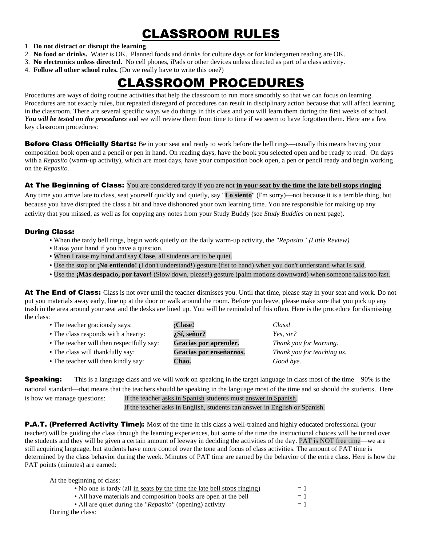# CLASSROOM RULES

#### 1. **Do not distract or disrupt the learning**.

- 2. **No food or drinks.** Water is OK. Planned foods and drinks for culture days or for kindergarten reading are OK.
- 3. **No electronics unless directed.** No cell phones, iPads or other devices unless directed as part of a class activity.
- 4. **Follow all other school rules.** (Do we really have to write this one?)

# CLASSROOM PROCEDURES

Procedures are ways of doing routine activities that help the classroom to run more smoothly so that we can focus on learning. Procedures are not exactly rules, but repeated disregard of procedures can result in disciplinary action because that will affect learning in the classroom. There are several specific ways we do things in this class and you will learn them during the first weeks of school. *You will be tested on the procedures* and we will review them from time to time if we seem to have forgotten them. Here are a few key classroom procedures:

**Before Class Officially Starts:** Be in your seat and ready to work before the bell rings—usually this means having your composition book open and a pencil or pen in hand. On reading days, have the book you selected open and be ready to read. On days with a *Repasito* (warm-up activity), which are most days, have your composition book open, a pen or pencil ready and begin working on the *Repasito.*

#### At The Beginning of Class: You are considered tardy if you are not **in your seat by the time the late bell stops ringing**.

Any time you arrive late to class, seat yourself quickly and quietly, say "**Lo siento**" (I'm sorry)—not because it is a terrible thing, but because you have disrupted the class a bit and have dishonored your own learning time. You are responsible for making up any activity that you missed, as well as for copying any notes from your Study Buddy (see *Study Buddies* on next page).

### During Class:

- When the tardy bell rings, begin work quietly on the daily warm-up activity, the *"Repasito" (Little Review).*
- Raise your hand if you have a question.
- When I raise my hand and say **Clase**, all students are to be quiet.
- Use the stop or **;No entiendo!** (I don't understand!) gesture (fist to hand) when you don't understand what Is said.
- Use the **¡Más despacio, por favor!** (Slow down, please!) gesture (palm motions downward) when someone talks too fast.

At The End of Class: Class is not over until the teacher dismisses you. Until that time, please stay in your seat and work. Do not put you materials away early, line up at the door or walk around the room. Before you leave, please make sure that you pick up any trash in the area around your seat and the desks are lined up. You will be reminded of this often. Here is the procedure for dismissing the class:

| • The teacher graciously says:            | :Clase!                 | Class!                     |
|-------------------------------------------|-------------------------|----------------------------|
| • The class responds with a hearty:       | ¿Sí, señor?             | Yes. $sir?$                |
| • The teacher will then respectfully say: | Gracias por aprender.   | Thank you for learning.    |
| • The class will thankfully say:          | Gracias por enseñarnos. | Thank you for teaching us. |
| • The teacher will then kindly say:       | Chao.                   | Good bye.                  |

**Speaking:** This is a language class and we will work on speaking in the target language in class most of the time—90% is the national standard—that means that the teachers should be speaking in the language most of the time and so should the students. Here is how we manage questions: If the teacher asks in Spanish students must answer in Spanish.

If the teacher asks in English, students can answer in English or Spanish.

**P.A.T. (Preferred Activity Time):** Most of the time in this class a well-trained and highly educated professional (your teacher) will be guiding the class through the learning experiences, but some of the time the instructional choices will be turned over the students and they will be given a certain amount of leeway in deciding the activities of the day. PAT is NOT free time—we are still acquiring language, but students have more control over the tone and focus of class activities. The amount of PAT time is determined by the class behavior during the week. Minutes of PAT time are earned by the behavior of the entire class. Here is how the PAT points (minutes) are earned:

| At the beginning of class:                                               |      |
|--------------------------------------------------------------------------|------|
| • No one is tardy (all in seats by the time the late bell stops ringing) | $=1$ |
| • All have materials and composition books are open at the bell          | $=1$ |
| • All are quiet during the "Repasito" (opening) activity                 | $=1$ |
| During the class:                                                        |      |